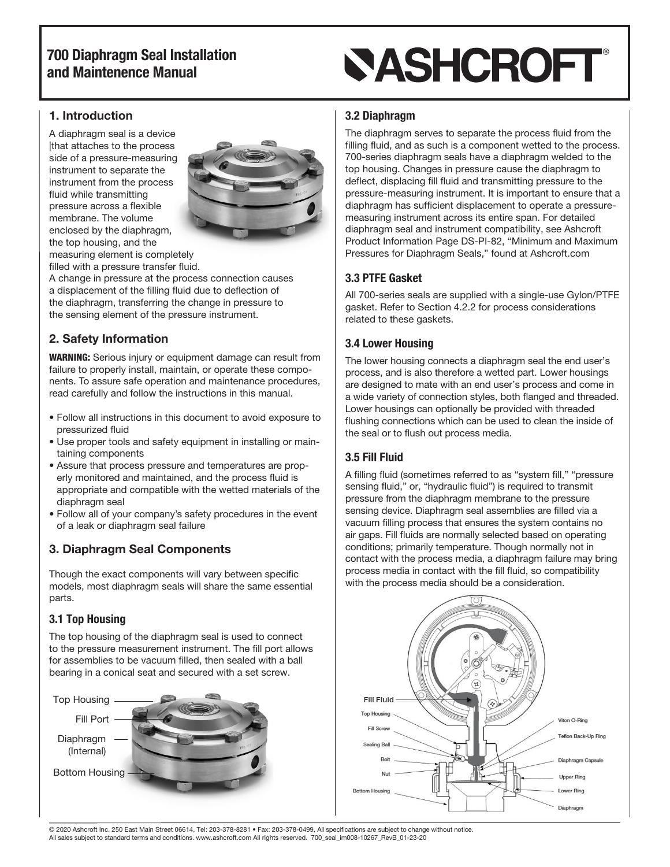# **SASHCROFT®**

## 1. Introduction

A diaphragm seal is a device |that attaches to the process side of a pressure-measuring instrument to separate the instrument from the process fluid while transmitting pressure across a flexible membrane. The volume enclosed by the diaphragm, the top housing, and the measuring element is completely filled with a pressure transfer fluid.



A change in pressure at the process connection causes a displacement of the filling fluid due to deflection of the diaphragm, transferring the change in pressure to the sensing element of the pressure instrument.

## 2. Safety Information

WARNING: Serious injury or equipment damage can result from failure to properly install, maintain, or operate these components. To assure safe operation and maintenance procedures, read carefully and follow the instructions in this manual.

- Follow all instructions in this document to avoid exposure to pressurized fluid
- Use proper tools and safety equipment in installing or maintaining components
- Assure that process pressure and temperatures are properly monitored and maintained, and the process fluid is appropriate and compatible with the wetted materials of the diaphragm seal
- Follow all of your company's safety procedures in the event of a leak or diaphragm seal failure

## 3. Diaphragm Seal Components

Though the exact components will vary between specific models, most diaphragm seals will share the same essential parts.

## 3.1 Top Housing

The top housing of the diaphragm seal is used to connect to the pressure measurement instrument. The fill port allows for assemblies to be vacuum filled, then sealed with a ball bearing in a conical seat and secured with a set screw.



## 3.2 Diaphragm

The diaphragm serves to separate the process fluid from the filling fluid, and as such is a component wetted to the process. 700-series diaphragm seals have a diaphragm welded to the top housing. Changes in pressure cause the diaphragm to deflect, displacing fill fluid and transmitting pressure to the pressure-measuring instrument. It is important to ensure that a diaphragm has sufficient displacement to operate a pressuremeasuring instrument across its entire span. For detailed diaphragm seal and instrument compatibility, see Ashcroft Product Information Page DS-PI-82, "Minimum and Maximum Pressures for Diaphragm Seals," found at Ashcroft.com

## 3.3 PTFE Gasket

All 700-series seals are supplied with a single-use Gylon/PTFE gasket. Refer to Section 4.2.2 for process considerations related to these gaskets.

## 3.4 Lower Housing

The lower housing connects a diaphragm seal the end user's process, and is also therefore a wetted part. Lower housings are designed to mate with an end user's process and come in a wide variety of connection styles, both flanged and threaded. Lower housings can optionally be provided with threaded flushing connections which can be used to clean the inside of the seal or to flush out process media.

## 3.5 Fill Fluid

A filling fluid (sometimes referred to as "system fill," "pressure sensing fluid," or, "hydraulic fluid") is required to transmit pressure from the diaphragm membrane to the pressure sensing device. Diaphragm seal assemblies are filled via a vacuum filling process that ensures the system contains no air gaps. Fill fluids are normally selected based on operating conditions; primarily temperature. Though normally not in contact with the process media, a diaphragm failure may bring process media in contact with the fill fluid, so compatibility with the process media should be a consideration.



© 2020 Ashcroft Inc. 250 East Main Street 06614, Tel: 203-378-8281 • Fax: 203-378-0499, All specifications are subject to change without notice. All sales subject to standard terms and conditions. www.ashcroft.com All rights reserved. 700\_seal\_im008-10267\_RevB\_01-23-20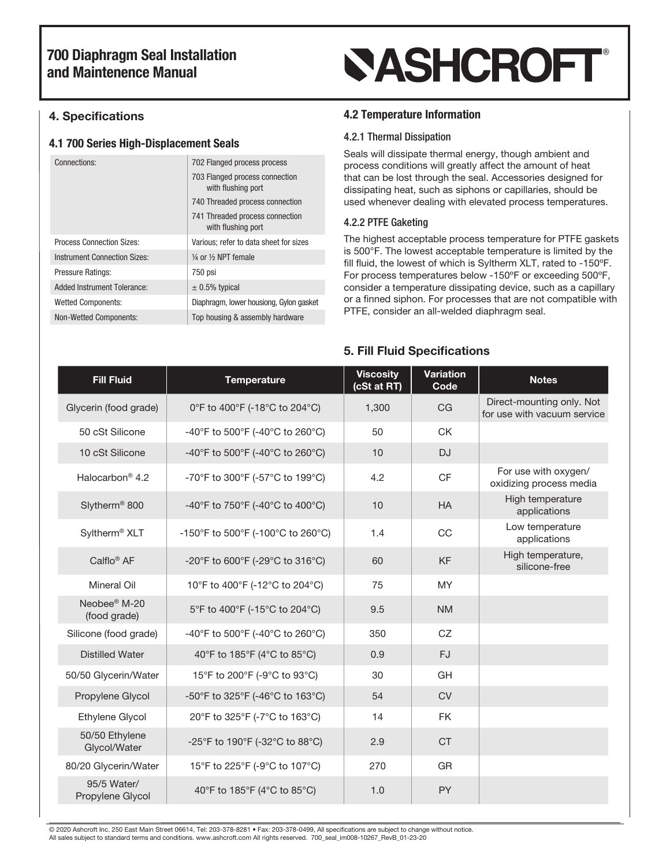## 4. Specifications

### 4.1 700 Series High-Displacement Seals

| Connections:                        | 702 Flanged process process                           |  |
|-------------------------------------|-------------------------------------------------------|--|
|                                     | 703 Flanged process connection<br>with flushing port  |  |
|                                     | 740 Threaded process connection                       |  |
|                                     | 741 Threaded process connection<br>with flushing port |  |
| <b>Process Connection Sizes:</b>    | Various; refer to data sheet for sizes                |  |
| <b>Instrument Connection Sizes:</b> | $\frac{1}{4}$ or $\frac{1}{2}$ NPT female             |  |
| <b>Pressure Ratings:</b>            | 750 psi                                               |  |
| Added Instrument Tolerance:         | $\pm$ 0.5% typical                                    |  |
| <b>Wetted Components:</b>           | Diaphragm, lower housiong, Gylon gasket               |  |
| <b>Non-Wetted Components:</b>       | Top housing & assembly hardware                       |  |
|                                     |                                                       |  |

# **SASHCROFT®**

## 4.2 Temperature Information

#### 4.2.1 Thermal Dissipation

Seals will dissipate thermal energy, though ambient and process conditions will greatly affect the amount of heat that can be lost through the seal. Accessories designed for dissipating heat, such as siphons or capillaries, should be used whenever dealing with elevated process temperatures.

### 4.2.2 PTFE Gaketing

The highest acceptable process temperature for PTFE gaskets is 500°F. The lowest acceptable temperature is limited by the fill fluid, the lowest of which is Syltherm XLT, rated to -150ºF. For process temperatures below -150ºF or exceeding 500ºF, consider a temperature dissipating device, such as a capillary or a finned siphon. For processes that are not compatible with PTFE, consider an all-welded diaphragm seal.

## 5. Fill Fluid Specifications

| <b>Fill Fluid</b>                        | <b>Temperature</b>                | <b>Viscosity</b><br>(cSt at RT) | <b>Variation</b><br>Code | <b>Notes</b>                                             |
|------------------------------------------|-----------------------------------|---------------------------------|--------------------------|----------------------------------------------------------|
| Glycerin (food grade)                    | 0°F to 400°F (-18°C to 204°C)     | 1,300                           | <b>CG</b>                | Direct-mounting only. Not<br>for use with vacuum service |
| 50 cSt Silicone                          | -40°F to 500°F (-40°C to 260°C)   | 50                              | <b>CK</b>                |                                                          |
| 10 cSt Silicone                          | -40°F to 500°F (-40°C to 260°C)   | 10                              | <b>DJ</b>                |                                                          |
| Halocarbon <sup>®</sup> 4.2              | -70°F to 300°F (-57°C to 199°C)   | 4.2                             | <b>CF</b>                | For use with oxygen/<br>oxidizing process media          |
| Slytherm <sup>®</sup> 800                | -40°F to 750°F (-40°C to 400°C)   | 10                              | <b>HA</b>                | High temperature<br>applications                         |
| Syltherm <sup>®</sup> XLT                | -150°F to 500°F (-100°C to 260°C) | 1.4                             | CC                       | Low temperature<br>applications                          |
| Calflo <sup>®</sup> AF                   | -20°F to 600°F (-29°C to 316°C)   | 60                              | <b>KF</b>                | High temperature,<br>silicone-free                       |
| <b>Mineral Oil</b>                       | 10°F to 400°F (-12°C to 204°C)    | 75                              | <b>MY</b>                |                                                          |
| Neobee <sup>®</sup> M-20<br>(food grade) | 5°F to 400°F (-15°C to 204°C)     | 9.5                             | <b>NM</b>                |                                                          |
| Silicone (food grade)                    | -40°F to 500°F (-40°C to 260°C)   | 350                             | CZ                       |                                                          |
| <b>Distilled Water</b>                   | 40°F to 185°F (4°C to 85°C)       | 0.9                             | <b>FJ</b>                |                                                          |
| 50/50 Glycerin/Water                     | 15°F to 200°F (-9°C to 93°C)      | 30                              | GH                       |                                                          |
| Propylene Glycol                         | -50°F to 325°F (-46°C to 163°C)   | 54                              | <b>CV</b>                |                                                          |
| Ethylene Glycol                          | 20°F to 325°F (-7°C to 163°C)     | 14                              | <b>FK</b>                |                                                          |
| 50/50 Ethylene<br>Glycol/Water           | -25°F to 190°F (-32°C to 88°C)    | 2.9                             | <b>CT</b>                |                                                          |
| 80/20 Glycerin/Water                     | 15°F to 225°F (-9°C to 107°C)     | 270                             | <b>GR</b>                |                                                          |
| 95/5 Water/<br>Propylene Glycol          | 40°F to 185°F (4°C to 85°C)       | 1.0                             | <b>PY</b>                |                                                          |

© 2020 Ashcroft Inc. 250 East Main Street 06614, Tel: 203-378-8281 • Fax: 203-378-0499, All specifications are subject to change without notice. All sales subject to standard terms and conditions. www.ashcroft.com All rights reserved. 700\_seal\_im008-10267\_RevB\_01-23-20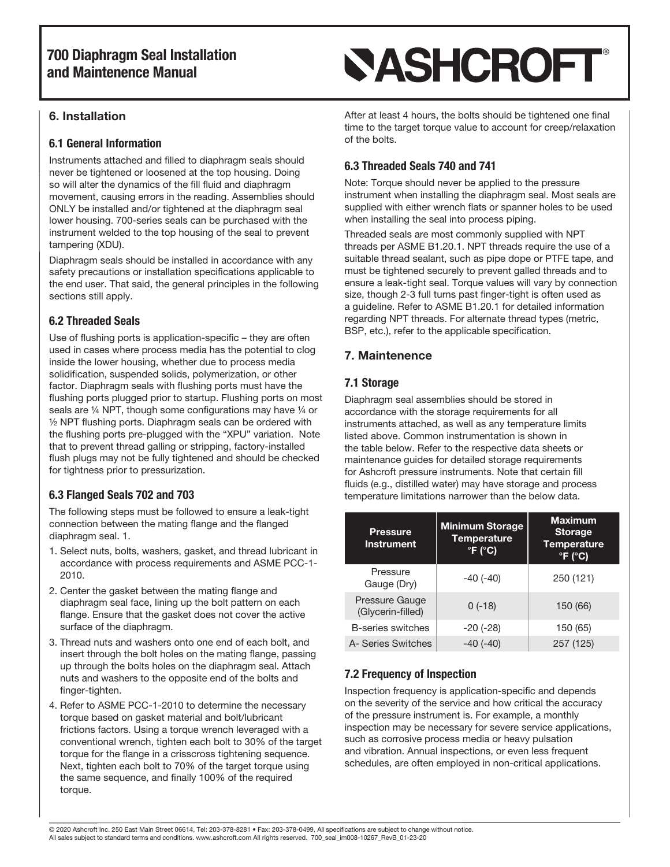### 6. Installation

#### 6.1 General Information

Instruments attached and filled to diaphragm seals should never be tightened or loosened at the top housing. Doing so will alter the dynamics of the fill fluid and diaphragm movement, causing errors in the reading. Assemblies should ONLY be installed and/or tightened at the diaphragm seal lower housing. 700-series seals can be purchased with the instrument welded to the top housing of the seal to prevent tampering (XDU).

Diaphragm seals should be installed in accordance with any safety precautions or installation specifications applicable to the end user. That said, the general principles in the following sections still apply.

## 6.2 Threaded Seals

Use of flushing ports is application-specific – they are often used in cases where process media has the potential to clog inside the lower housing, whether due to process media solidification, suspended solids, polymerization, or other factor. Diaphragm seals with flushing ports must have the flushing ports plugged prior to startup. Flushing ports on most seals are 1/4 NPT, though some configurations may have 1/4 or ½ NPT flushing ports. Diaphragm seals can be ordered with the flushing ports pre-plugged with the "XPU" variation. Note that to prevent thread galling or stripping, factory-installed flush plugs may not be fully tightened and should be checked for tightness prior to pressurization.

## 6.3 Flanged Seals 702 and 703

The following steps must be followed to ensure a leak-tight connection between the mating flange and the flanged diaphragm seal. 1.

- 1. Select nuts, bolts, washers, gasket, and thread lubricant in accordance with process requirements and ASME PCC-1- 2010.
- 2. Center the gasket between the mating flange and diaphragm seal face, lining up the bolt pattern on each flange. Ensure that the gasket does not cover the active surface of the diaphragm.
- 3. Thread nuts and washers onto one end of each bolt, and insert through the bolt holes on the mating flange, passing up through the bolts holes on the diaphragm seal. Attach nuts and washers to the opposite end of the bolts and finger-tighten.
- 4. Refer to ASME PCC-1-2010 to determine the necessary torque based on gasket material and bolt/lubricant frictions factors. Using a torque wrench leveraged with a conventional wrench, tighten each bolt to 30% of the target torque for the flange in a crisscross tightening sequence. Next, tighten each bolt to 70% of the target torque using the same sequence, and finally 100% of the required torque.

# **SASHCROFT®**

After at least 4 hours, the bolts should be tightened one final time to the target torque value to account for creep/relaxation of the bolts.

## 6.3 Threaded Seals 740 and 741

Note: Torque should never be applied to the pressure instrument when installing the diaphragm seal. Most seals are supplied with either wrench flats or spanner holes to be used when installing the seal into process piping.

Threaded seals are most commonly supplied with NPT threads per ASME B1.20.1. NPT threads require the use of a suitable thread sealant, such as pipe dope or PTFE tape, and must be tightened securely to prevent galled threads and to ensure a leak-tight seal. Torque values will vary by connection size, though 2-3 full turns past finger-tight is often used as a guideline. Refer to ASME B1.20.1 for detailed information regarding NPT threads. For alternate thread types (metric, BSP, etc.), refer to the applicable specification.

## 7. Maintenence

## 7.1 Storage

Diaphragm seal assemblies should be stored in accordance with the storage requirements for all instruments attached, as well as any temperature limits listed above. Common instrumentation is shown in the table below. Refer to the respective data sheets or maintenance guides for detailed storage requirements for Ashcroft pressure instruments. Note that certain fill fluids (e.g., distilled water) may have storage and process temperature limitations narrower than the below data.

| <b>Pressure</b><br><b>Instrument</b> | <b>Minimum Storage</b><br><b>Temperature</b><br>$\degree$ F ( $\degree$ C) | <b>Maximum</b><br><b>Storage</b><br><b>Temperature</b><br>$\degree$ F ( $\degree$ C) |
|--------------------------------------|----------------------------------------------------------------------------|--------------------------------------------------------------------------------------|
| Pressure<br>Gauge (Dry)              | $-40(-40)$                                                                 | 250 (121)                                                                            |
| Pressure Gauge<br>(Glycerin-filled)  | $0(-18)$                                                                   | 150 (66)                                                                             |
| <b>B-series switches</b>             | $-20(-28)$                                                                 | 150 (65)                                                                             |
| A- Series Switches                   | $-40(-40)$                                                                 | 257 (125)                                                                            |

## 7.2 Frequency of Inspection

Inspection frequency is application-specific and depends on the severity of the service and how critical the accuracy of the pressure instrument is. For example, a monthly inspection may be necessary for severe service applications, such as corrosive process media or heavy pulsation and vibration. Annual inspections, or even less frequent schedules, are often employed in non-critical applications.

© 2020 Ashcroft Inc. 250 East Main Street 06614, Tel: 203-378-8281 • Fax: 203-378-0499, All specifications are subject to change without notice. All sales subject to standard terms and conditions. www.ashcroft.com All rights reserved. 700\_seal\_im008-10267\_RevB\_01-23-20